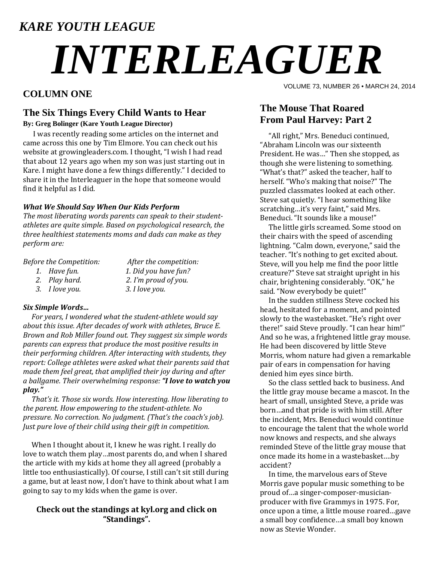# *KARE YOUTH LEAGUE*

# *INTERLEAGUER*

# **COLUMN ONE**

## **The Six Things Every Child Wants to Hear**

#### **By: Greg Bolinger (Kare Youth League Director)**

I was recently reading some articles on the internet and came across this one by Tim Elmore. You can check out his website at growingleaders.com. I thought, "I wish I had read that about 12 years ago when my son was just starting out in Kare. I might have done a few things differently." I decided to share it in the Interleaguer in the hope that someone would find it helpful as I did.

#### *What We Should Say When Our Kids Perform*

*The most liberating words parents can speak to their student‐ athletes are quite simple. Based on psychological research, the three healthiest statements moms and dads can make as they perform are:*

*Before the Competition: After the competition:*

- 
- *1. Have fun. 1. Did you have fun? 2. Play hard. 2. I'm proud of you. 3. I love you. 3. I love you.*
- *Six Simple Words…*

 *For years, I wondered what the student‐athlete would say about this issue. After decades of work with athletes, Bruce E. Brown and Rob Miller found out. They suggest six simple words parents can express that produce the most positive results in their performing children. After interacting with students, they report: College athletes were asked what their parents said that made them feel great, that amplified their joy during and after a ballgame. Their overwhelming response: "I love to watch you play."*

 *That's it. Those six words. How interesting. How liberating to the parent. How empowering to the student‐athlete. No pressure. No correction. No judgment. (That's the coach's job). Just pure love of their child using their gift in competition.*

When I thought about it, I knew he was right. I really do love to watch them play...most parents do, and when I shared the article with my kids at home they all agreed (probably a little too enthusiastically). Of course, I still can't sit still during a game, but at least now, I don't have to think about what I am going to say to my kids when the game is over.

### **Check out the standings at kyl.org and click on "Standings".**

VOLUME 73, NUMBER 26 • MARCH 24, 2014

# **The Mouse That Roared From Paul Harvey: Part 2**

"All right," Mrs. Beneduci continued, "Abraham Lincoln was our sixteenth President. He was..." Then she stopped, as though she were listening to something. "What's that?" asked the teacher, half to herself. "Who's making that noise?" The puzzled classmates looked at each other. Steve sat quietly. "I hear something like scratching...it's very faint," said Mrs. Beneduci. "It sounds like a mouse!"

The little girls screamed. Some stood on their chairs with the speed of ascending lightning. "Calm down, everyone," said the teacher. "It's nothing to get excited about. Steve, will you help me find the poor little creature?" Steve sat straight upright in his chair, brightening considerably. "OK," he said. "Now everybody be quiet!"

In the sudden stillness Steve cocked his head, hesitated for a moment, and pointed slowly to the wastebasket. "He's right over there!" said Steve proudly. "I can hear him!" And so he was, a frightened little gray mouse. He had been discovered by little Steve Morris, whom nature had given a remarkable pair of ears in compensation for having denied him eyes since birth.

So the class settled back to business. And the little gray mouse became a mascot. In the heart of small, unsighted Steve, a pride was born...and that pride is with him still. After the incident. Mrs. Beneduci would continue to encourage the talent that the whole world now knows and respects, and she always reminded Steve of the little gray mouse that once made its home in a wastebasket....by accident? 

In time, the marvelous ears of Steve Morris gave popular music something to be. proud of…a singer-composer-musicianproducer with five Grammys in 1975. For, once upon a time, a little mouse roared...gave a small boy confidence...a small boy known now as Stevie Wonder.